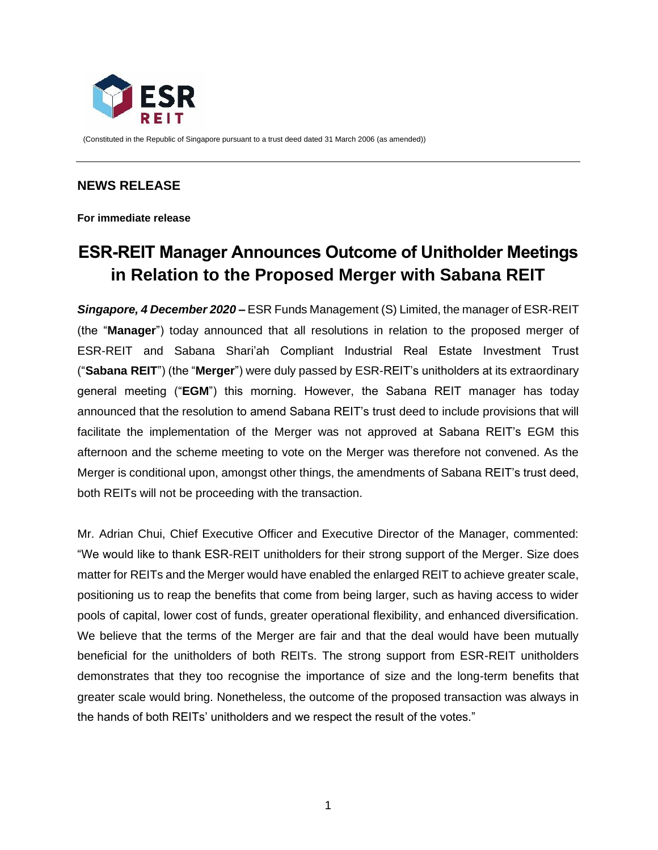

(Constituted in the Republic of Singapore pursuant to a trust deed dated 31 March 2006 (as amended))

## **NEWS RELEASE**

**For immediate release**

# **ESR-REIT Manager Announces Outcome of Unitholder Meetings in Relation to the Proposed Merger with Sabana REIT**

*Singapore, 4 December 2020* **–** ESR Funds Management (S) Limited, the manager of ESR-REIT (the "**Manager**") today announced that all resolutions in relation to the proposed merger of ESR-REIT and Sabana Shari'ah Compliant Industrial Real Estate Investment Trust ("**Sabana REIT**") (the "**Merger**") were duly passed by ESR-REIT's unitholders at its extraordinary general meeting ("**EGM**") this morning. However, the Sabana REIT manager has today announced that the resolution to amend Sabana REIT's trust deed to include provisions that will facilitate the implementation of the Merger was not approved at Sabana REIT's EGM this afternoon and the scheme meeting to vote on the Merger was therefore not convened. As the Merger is conditional upon, amongst other things, the amendments of Sabana REIT's trust deed, both REITs will not be proceeding with the transaction.

Mr. Adrian Chui, Chief Executive Officer and Executive Director of the Manager, commented: "We would like to thank ESR-REIT unitholders for their strong support of the Merger. Size does matter for REITs and the Merger would have enabled the enlarged REIT to achieve greater scale, positioning us to reap the benefits that come from being larger, such as having access to wider pools of capital, lower cost of funds, greater operational flexibility, and enhanced diversification. We believe that the terms of the Merger are fair and that the deal would have been mutually beneficial for the unitholders of both REITs. The strong support from ESR-REIT unitholders demonstrates that they too recognise the importance of size and the long-term benefits that greater scale would bring. Nonetheless, the outcome of the proposed transaction was always in the hands of both REITs' unitholders and we respect the result of the votes."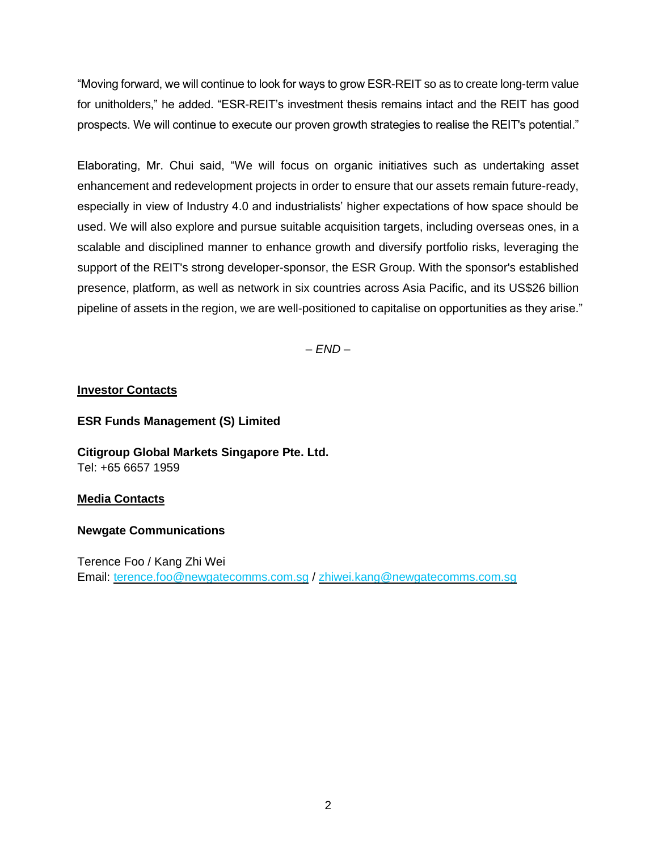"Moving forward, we will continue to look for ways to grow ESR-REIT so as to create long-term value for unitholders," he added. "ESR-REIT's investment thesis remains intact and the REIT has good prospects. We will continue to execute our proven growth strategies to realise the REIT's potential."

Elaborating, Mr. Chui said, "We will focus on organic initiatives such as undertaking asset enhancement and redevelopment projects in order to ensure that our assets remain future-ready, especially in view of Industry 4.0 and industrialists' higher expectations of how space should be used. We will also explore and pursue suitable acquisition targets, including overseas ones, in a scalable and disciplined manner to enhance growth and diversify portfolio risks, leveraging the support of the REIT's strong developer-sponsor, the ESR Group. With the sponsor's established presence, platform, as well as network in six countries across Asia Pacific, and its US\$26 billion pipeline of assets in the region, we are well-positioned to capitalise on opportunities as they arise."

– *END* –

## **Investor Contacts**

## **ESR Funds Management (S) Limited**

**Citigroup Global Markets Singapore Pte. Ltd.** Tel: +65 6657 1959

### **Media Contacts**

### **Newgate Communications**

Terence Foo / Kang Zhi Wei Email: [terence.foo@newgatecomms.com.sg](mailto:terence.foo@newgatecomms.com.sg) / [zhiwei.kang@newgatecomms.com.sg](mailto:zhiwei.kang@newgatecomms.com.sg)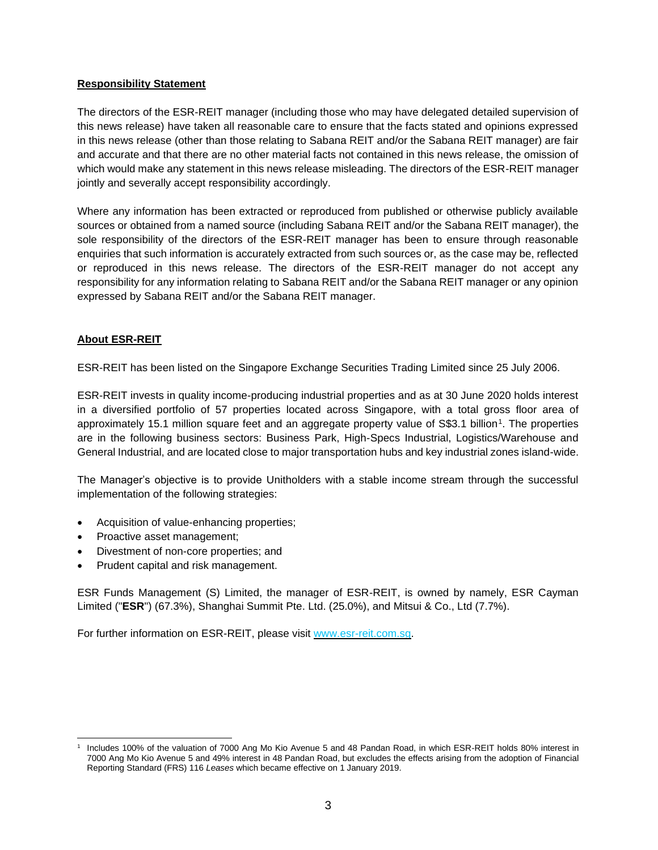#### **Responsibility Statement**

The directors of the ESR-REIT manager (including those who may have delegated detailed supervision of this news release) have taken all reasonable care to ensure that the facts stated and opinions expressed in this news release (other than those relating to Sabana REIT and/or the Sabana REIT manager) are fair and accurate and that there are no other material facts not contained in this news release, the omission of which would make any statement in this news release misleading. The directors of the ESR-REIT manager jointly and severally accept responsibility accordingly.

Where any information has been extracted or reproduced from published or otherwise publicly available sources or obtained from a named source (including Sabana REIT and/or the Sabana REIT manager), the sole responsibility of the directors of the ESR-REIT manager has been to ensure through reasonable enquiries that such information is accurately extracted from such sources or, as the case may be, reflected or reproduced in this news release. The directors of the ESR-REIT manager do not accept any responsibility for any information relating to Sabana REIT and/or the Sabana REIT manager or any opinion expressed by Sabana REIT and/or the Sabana REIT manager.

#### **About ESR-REIT**

ESR-REIT has been listed on the Singapore Exchange Securities Trading Limited since 25 July 2006.

ESR-REIT invests in quality income-producing industrial properties and as at 30 June 2020 holds interest in a diversified portfolio of 57 properties located across Singapore, with a total gross floor area of approximately 15.1 million square feet and an aggregate property value of S\$3.1 billion<sup>1</sup>. The properties are in the following business sectors: Business Park, High-Specs Industrial, Logistics/Warehouse and General Industrial, and are located close to major transportation hubs and key industrial zones island-wide.

The Manager's objective is to provide Unitholders with a stable income stream through the successful implementation of the following strategies:

- Acquisition of value-enhancing properties;
- Proactive asset management;
- Divestment of non-core properties; and
- Prudent capital and risk management.

ESR Funds Management (S) Limited, the manager of ESR-REIT, is owned by namely, ESR Cayman Limited ("**ESR**") (67.3%), Shanghai Summit Pte. Ltd. (25.0%), and Mitsui & Co., Ltd (7.7%).

For further information on ESR-REIT, please visit [www.esr-reit.com.sg.](http://www.esr-reit.com.sg/)

<sup>1</sup> Includes 100% of the valuation of 7000 Ang Mo Kio Avenue 5 and 48 Pandan Road, in which ESR-REIT holds 80% interest in 7000 Ang Mo Kio Avenue 5 and 49% interest in 48 Pandan Road, but excludes the effects arising from the adoption of Financial Reporting Standard (FRS) 116 *Leases* which became effective on 1 January 2019.